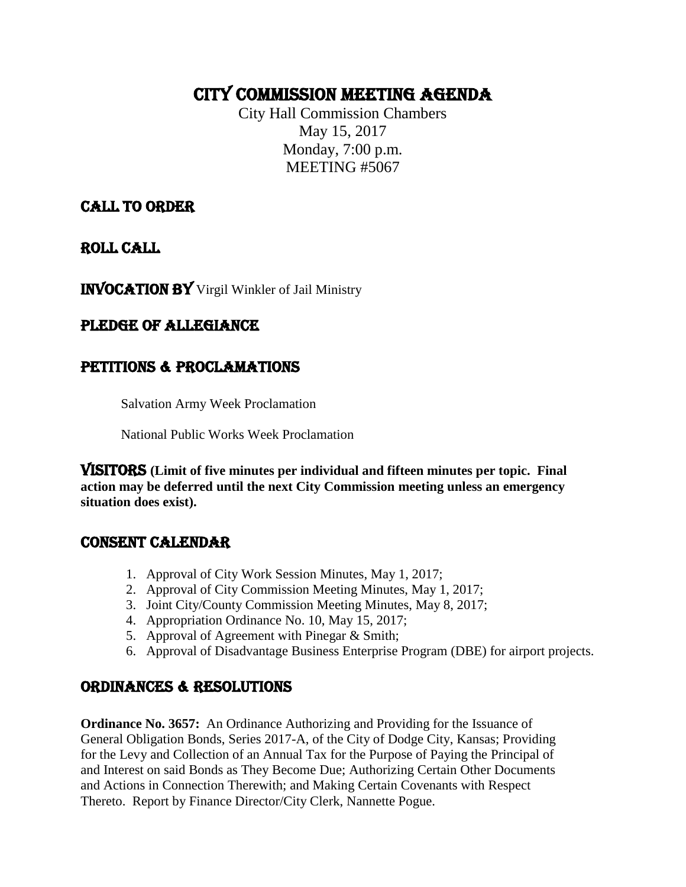# CITY COMMISSION MEETING AGENDA

City Hall Commission Chambers May 15, 2017 Monday, 7:00 p.m. MEETING #5067

### CALL TO ORDER

ROLL CALL

INVOCATION BY Virgil Winkler of Jail Ministry

### PLEDGE OF ALLEGIANCE

## PETITIONS & PROCLAMATIONS

Salvation Army Week Proclamation

National Public Works Week Proclamation

VISITORS **(Limit of five minutes per individual and fifteen minutes per topic. Final action may be deferred until the next City Commission meeting unless an emergency situation does exist).**

### CONSENT CALENDAR

- 1. Approval of City Work Session Minutes, May 1, 2017;
- 2. Approval of City Commission Meeting Minutes, May 1, 2017;
- 3. Joint City/County Commission Meeting Minutes, May 8, 2017;
- 4. Appropriation Ordinance No. 10, May 15, 2017;
- 5. Approval of Agreement with Pinegar & Smith;
- 6. Approval of Disadvantage Business Enterprise Program (DBE) for airport projects.

### ORDINANCES & RESOLUTIONS

**Ordinance No. 3657:** An Ordinance Authorizing and Providing for the Issuance of General Obligation Bonds, Series 2017-A, of the City of Dodge City, Kansas; Providing for the Levy and Collection of an Annual Tax for the Purpose of Paying the Principal of and Interest on said Bonds as They Become Due; Authorizing Certain Other Documents and Actions in Connection Therewith; and Making Certain Covenants with Respect Thereto. Report by Finance Director/City Clerk, Nannette Pogue.